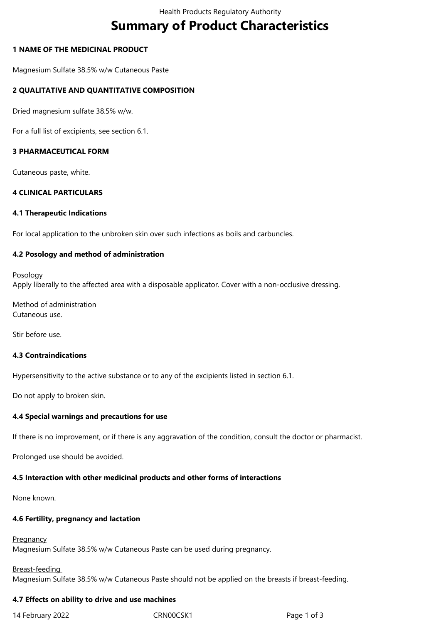# **Summary of Product Characteristics**

## **1 NAME OF THE MEDICINAL PRODUCT**

Magnesium Sulfate 38.5% w/w Cutaneous Paste

## **2 QUALITATIVE AND QUANTITATIVE COMPOSITION**

Dried magnesium sulfate 38.5% w/w.

For a full list of excipients, see section 6.1.

## **3 PHARMACEUTICAL FORM**

Cutaneous paste, white.

## **4 CLINICAL PARTICULARS**

## **4.1 Therapeutic Indications**

For local application to the unbroken skin over such infections as boils and carbuncles.

## **4.2 Posology and method of administration**

#### Posology

Apply liberally to the affected area with a disposable applicator. Cover with a non-occlusive dressing.

Method of administration Cutaneous use.

Stir before use.

## **4.3 Contraindications**

Hypersensitivity to the active substance or to any of the excipients listed in section 6.1.

Do not apply to broken skin.

## **4.4 Special warnings and precautions for use**

If there is no improvement, or if there is any aggravation of the condition, consult the doctor or pharmacist.

Prolonged use should be avoided.

## **4.5 Interaction with other medicinal products and other forms of interactions**

None known.

## **4.6 Fertility, pregnancy and lactation**

**Pregnancy** 

Magnesium Sulfate 38.5% w/w Cutaneous Paste can be used during pregnancy.

# Breast-feeding Magnesium Sulfate 38.5% w/w Cutaneous Paste should not be applied on the breasts if breast-feeding.

## **4.7 Effects on ability to drive and use machines**

14 February 2022 **CRNOOCSK1** CRNOOCSK1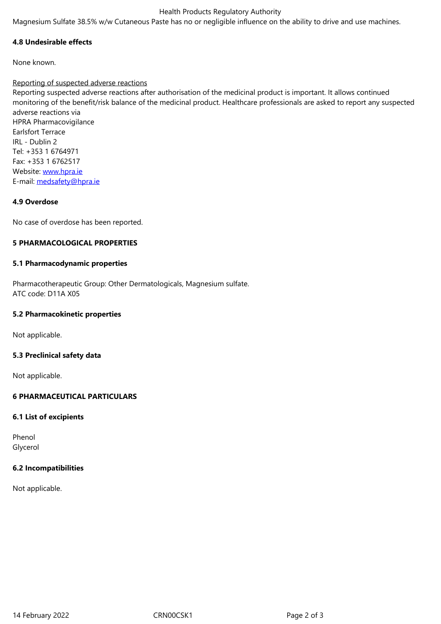#### **4.8 Undesirable effects**

None known.

## Reporting of suspected adverse reactions

Reporting suspected adverse reactions after authorisation of the medicinal product is important. It allows continued monitoring of the benefit/risk balance of the medicinal product. Healthcare professionals are asked to report any suspected adverse reactions via HPRA Pharmacovigilance Earlsfort Terrace IRL - Dublin 2 Tel: +353 1 6764971

Fax: +353 1 6762517 Website: www.hpra.ie E-mail: medsafety@hpra.ie

## **4.9 Over[dose](http://www.hpra.ie/)**

No cas[e of overdose has be](mailto:medsafety@hpra.ie)en reported.

## **5 PHARMACOLOGICAL PROPERTIES**

## **5.1 Pharmacodynamic properties**

Pharmacotherapeutic Group: Other Dermatologicals, Magnesium sulfate. ATC code: D11A X05

## **5.2 Pharmacokinetic properties**

Not applicable.

## **5.3 Preclinical safety data**

Not applicable.

## **6 PHARMACEUTICAL PARTICULARS**

## **6.1 List of excipients**

Phenol Glycerol

## **6.2 Incompatibilities**

Not applicable.